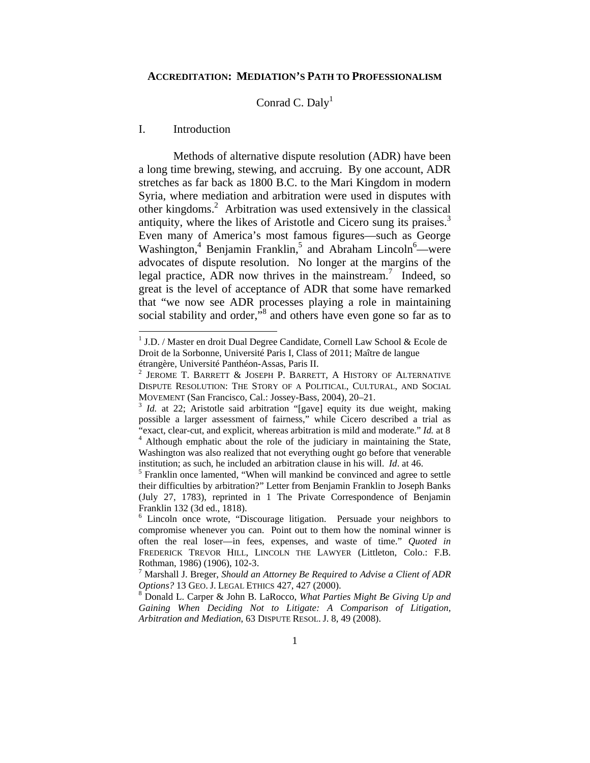#### **ACCREDITATION: MEDIATION'S PATH TO PROFESSIONALISM**

# Conrad C. Daly<sup>1</sup>

# I. Introduction

l

Methods of alternative dispute resolution (ADR) have been a long time brewing, stewing, and accruing. By one account, ADR stretches as far back as 1800 B.C. to the Mari Kingdom in modern Syria, where mediation and arbitration were used in disputes with other kingdoms.<sup>2</sup> Arbitration was used extensively in the classical antiquity, where the likes of Aristotle and Cicero sung its praises.<sup>3</sup> Even many of America's most famous figures—such as George Washington,<sup>4</sup> Benjamin Franklin,<sup>5</sup> and Abraham Lincoln<sup>6</sup>—were advocates of dispute resolution. No longer at the margins of the legal practice, ADR now thrives in the mainstream.<sup>7</sup> Indeed, so great is the level of acceptance of ADR that some have remarked that "we now see ADR processes playing a role in maintaining social stability and order, $\mathbb{R}^3$  and others have even gone so far as to

<sup>&</sup>lt;sup>1</sup> J.D. / Master en droit Dual Degree Candidate, Cornell Law School & Ecole de Droit de la Sorbonne, Université Paris I, Class of 2011; Maître de langue étrangère, Université Panthéon-Assas, Paris II.

<sup>&</sup>lt;sup>2</sup> JEROME T. BARRETT & JOSEPH P. BARRETT, A HISTORY OF ALTERNATIVE DISPUTE RESOLUTION: THE STORY OF A POLITICAL, CULTURAL, AND SOCIAL MOVEMENT (San Francisco, Cal.: Jossey-Bass, 2004), 20–21.<br><sup>3</sup> *Id.* at 22; Aristotle said arbitration "[gave] equity its due weight, making

possible a larger assessment of fairness," while Cicero described a trial as "exact, clear-cut, and explicit, whereas arbitration is mild and moderate." *Id.* at 8 4 <sup>4</sup> Although emphatic about the role of the judiciary in maintaining the State, Washington was also realized that not everything ought go before that venerable institution; as such, he included an arbitration clause in his will. *Id.* at 46.

<sup>&</sup>lt;sup>5</sup> Franklin once lamented, "When will mankind be convinced and agree to settle their difficulties by arbitration?" Letter from Benjamin Franklin to Joseph Banks (July 27, 1783), reprinted in 1 The Private Correspondence of Benjamin Franklin 132 (3d ed., 1818).

<sup>&</sup>lt;sup>6</sup> Lincoln once wrote, "Discourage litigation. Persuade your neighbors to compromise whenever you can. Point out to them how the nominal winner is often the real loser—in fees, expenses, and waste of time." *Quoted in* FREDERICK TREVOR HILL, LINCOLN THE LAWYER (Littleton, Colo.: F.B. Rothman, 1986) (1906), 102-3.

<sup>7</sup> Marshall J. Breger, *Should an Attorney Be Required to Advise a Client of ADR Options?* 13 GEO. J. LEGAL ETHICS 427, 427 (2000).

Donald L. Carper & John B. LaRocco, *What Parties Might Be Giving Up and Gaining When Deciding Not to Litigate: A Comparison of Litigation, Arbitration and Mediation*, 63 DISPUTE RESOL. J. 8, 49 (2008).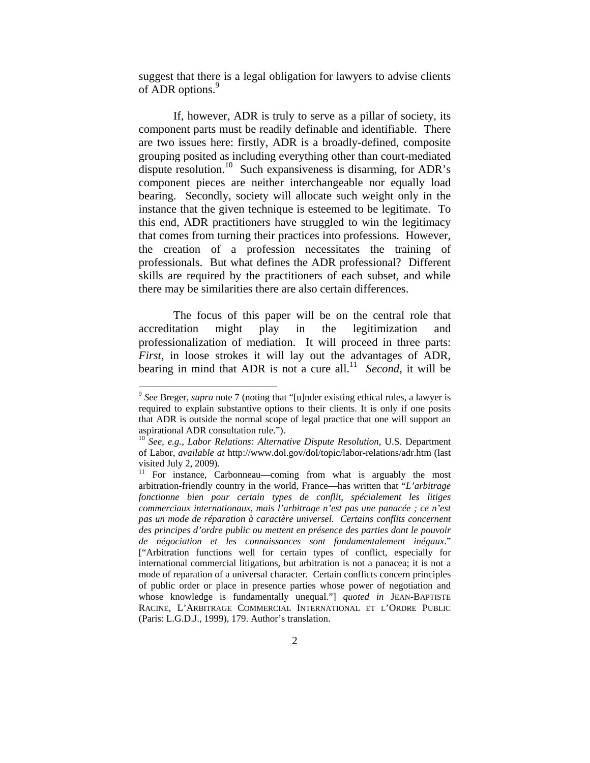suggest that there is a legal obligation for lawyers to advise clients of ADR options.<sup>9</sup>

If, however, ADR is truly to serve as a pillar of society, its component parts must be readily definable and identifiable. There are two issues here: firstly, ADR is a broadly-defined, composite grouping posited as including everything other than court-mediated dispute resolution.<sup>10</sup> Such expansiveness is disarming, for ADR's component pieces are neither interchangeable nor equally load bearing. Secondly, society will allocate such weight only in the instance that the given technique is esteemed to be legitimate. To this end, ADR practitioners have struggled to win the legitimacy that comes from turning their practices into professions. However, the creation of a profession necessitates the training of professionals. But what defines the ADR professional? Different skills are required by the practitioners of each subset, and while there may be similarities there are also certain differences.

The focus of this paper will be on the central role that accreditation might play in the legitimization and professionalization of mediation. It will proceed in three parts: *First*, in loose strokes it will lay out the advantages of ADR, bearing in mind that ADR is not a cure all.<sup>11</sup> *Second*, it will be

 $\overline{\phantom{a}}$ 

<sup>9</sup> *See* Breger, *supra* note 7 (noting that "[u]nder existing ethical rules, a lawyer is required to explain substantive options to their clients. It is only if one posits that ADR is outside the normal scope of legal practice that one will support an aspirational ADR consultation rule.").

<sup>10</sup> *See, e.g.*, *Labor Relations: Alternative Dispute Resolution*, U.S. Department of Labor, *available at* http://www.dol.gov/dol/topic/labor-relations/adr.htm (last visited July 2, 2009).

<sup>&</sup>lt;sup>11</sup> For instance, Carbonneau—coming from what is arguably the most arbitration-friendly country in the world, France—has written that "*L'arbitrage fonctionne bien pour certain types de conflit, spécialement les litiges commerciaux internationaux, mais l'arbitrage n'est pas une panacée ; ce n'est pas un mode de réparation à caractère universel. Certains conflits concernent des principes d'ordre public ou mettent en présence des parties dont le pouvoir de négociation et les connaissances sont fondamentalement inégaux*." ["Arbitration functions well for certain types of conflict, especially for international commercial litigations, but arbitration is not a panacea; it is not a mode of reparation of a universal character. Certain conflicts concern principles of public order or place in presence parties whose power of negotiation and whose knowledge is fundamentally unequal."] *quoted in* JEAN-BAPTISTE RACINE, L'ARBITRAGE COMMERCIAL INTERNATIONAL ET L'ORDRE PUBLIC (Paris: L.G.D.J., 1999), 179. Author's translation.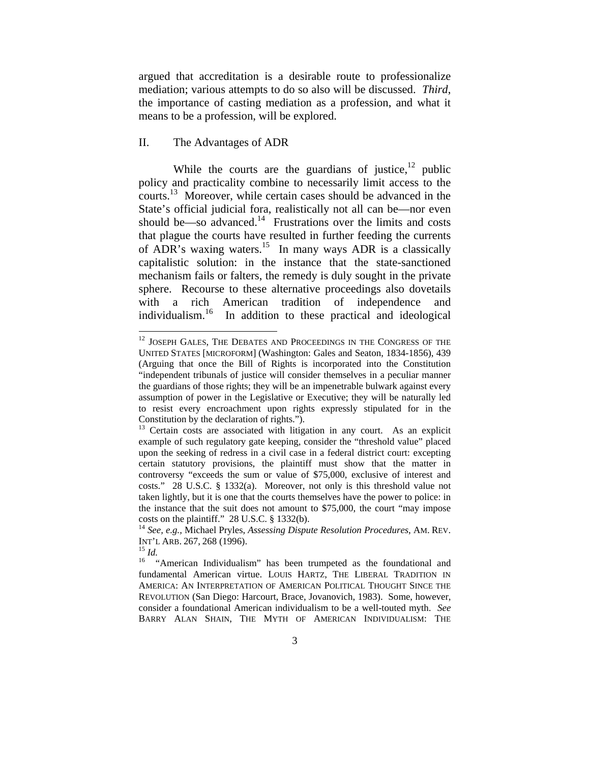argued that accreditation is a desirable route to professionalize mediation; various attempts to do so also will be discussed. *Third*, the importance of casting mediation as a profession, and what it means to be a profession, will be explored.

# II. The Advantages of ADR

While the courts are the guardians of justice, $12$  public policy and practicality combine to necessarily limit access to the courts.<sup>13</sup> Moreover, while certain cases should be advanced in the State's official judicial fora, realistically not all can be—nor even should be—so advanced.<sup>14</sup> Frustrations over the limits and costs that plague the courts have resulted in further feeding the currents of ADR's waxing waters.15 In many ways ADR is a classically capitalistic solution: in the instance that the state-sanctioned mechanism fails or falters, the remedy is duly sought in the private sphere. Recourse to these alternative proceedings also dovetails with a rich American tradition of independence and individualism.16 In addition to these practical and ideological

 $^{12}$  JOSEPH GALES, THE DEBATES AND PROCEEDINGS IN THE CONGRESS OF THE UNITED STATES [MICROFORM] (Washington: Gales and Seaton, 1834-1856), 439 (Arguing that once the Bill of Rights is incorporated into the Constitution "independent tribunals of justice will consider themselves in a peculiar manner the guardians of those rights; they will be an impenetrable bulwark against every assumption of power in the Legislative or Executive; they will be naturally led to resist every encroachment upon rights expressly stipulated for in the Constitution by the declaration of rights.").

<sup>&</sup>lt;sup>13</sup> Certain costs are associated with litigation in any court. As an explicit example of such regulatory gate keeping, consider the "threshold value" placed upon the seeking of redress in a civil case in a federal district court: excepting certain statutory provisions, the plaintiff must show that the matter in controversy "exceeds the sum or value of \$75,000, exclusive of interest and costs." 28 U.S.C. § 1332(a). Moreover, not only is this threshold value not taken lightly, but it is one that the courts themselves have the power to police: in the instance that the suit does not amount to \$75,000, the court "may impose costs on the plaintiff." 28 U.S.C. § 1332(b). 14 *See, e.g.,* Michael Pryles, *Assessing Dispute Resolution Procedures*, AM. REV.

INT'L ARB. 267, 268 (1996).<br><sup>15</sup> *Id.* "American Individualism" has been trumpeted as the foundational and "American Individualism" has been trumpeted as the foundational and fundamental American virtue. LOUIS HARTZ, THE LIBERAL TRADITION IN AMERICA: AN INTERPRETATION OF AMERICAN POLITICAL THOUGHT SINCE THE REVOLUTION (San Diego: Harcourt, Brace, Jovanovich, 1983). Some, however, consider a foundational American individualism to be a well-touted myth. *See*  BARRY ALAN SHAIN, THE MYTH OF AMERICAN INDIVIDUALISM: THE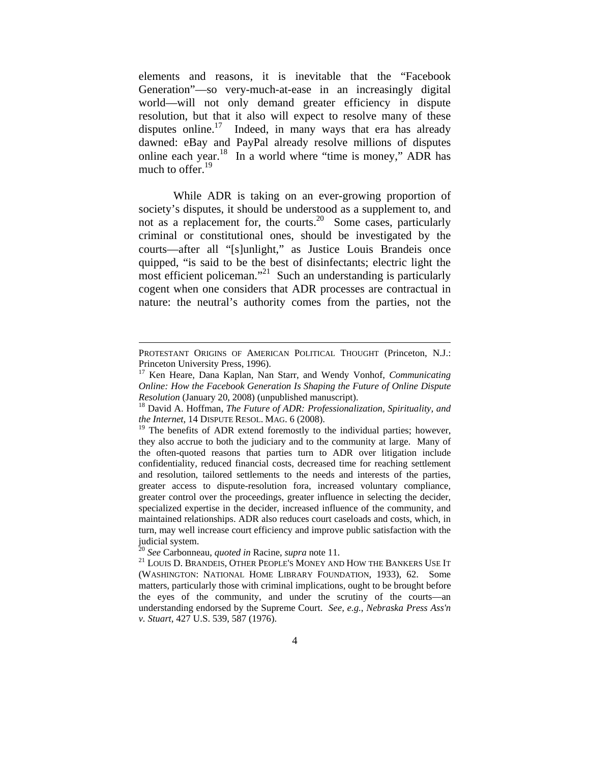elements and reasons, it is inevitable that the "Facebook Generation"—so very-much-at-ease in an increasingly digital world—will not only demand greater efficiency in dispute resolution, but that it also will expect to resolve many of these disputes online.<sup>17</sup> Indeed, in many ways that era has already dawned: eBay and PayPal already resolve millions of disputes online each year.<sup>18</sup> In a world where "time is money," ADR has much to offer. $^{19}$ 

While ADR is taking on an ever-growing proportion of society's disputes, it should be understood as a supplement to, and not as a replacement for, the courts.<sup>20</sup> Some cases, particularly criminal or constitutional ones, should be investigated by the courts—after all "[s]unlight," as Justice Louis Brandeis once quipped, "is said to be the best of disinfectants; electric light the most efficient policeman."<sup>21</sup> Such an understanding is particularly cogent when one considers that ADR processes are contractual in nature: the neutral's authority comes from the parties, not the

PROTESTANT ORIGINS OF AMERICAN POLITICAL THOUGHT (Princeton, N.J.: Princeton University Press, 1996).

<sup>17</sup> Ken Heare, Dana Kaplan, Nan Starr, and Wendy Vonhof, *Communicating Online: How the Facebook Generation Is Shaping the Future of Online Dispute Resolution* (January 20, 2008) (unpublished manuscript).<br><sup>18</sup> David A. Hoffman, *The Future of ADR: Professionalization, Spirituality, and* 

*the Internet*, 14 DISPUTE RESOL. MAG. 6 (2008).

 $19$  The benefits of ADR extend foremostly to the individual parties; however, they also accrue to both the judiciary and to the community at large. Many of the often-quoted reasons that parties turn to ADR over litigation include confidentiality, reduced financial costs, decreased time for reaching settlement and resolution, tailored settlements to the needs and interests of the parties, greater access to dispute-resolution fora, increased voluntary compliance, greater control over the proceedings, greater influence in selecting the decider, specialized expertise in the decider, increased influence of the community, and maintained relationships. ADR also reduces court caseloads and costs, which, in turn, may well increase court efficiency and improve public satisfaction with the judicial system.<br><sup>20</sup> See Carbonneau, *quoted in* Racine, *supra* note 11.

<sup>&</sup>lt;sup>21</sup> LOUIS D. BRANDEIS, OTHER PEOPLE'S MONEY AND HOW THE BANKERS USE IT (WASHINGTON: NATIONAL HOME LIBRARY FOUNDATION, 1933), 62. Some matters, particularly those with criminal implications, ought to be brought before the eyes of the community, and under the scrutiny of the courts—an understanding endorsed by the Supreme Court. *See, e.g.*, *Nebraska Press Ass'n v. Stuart*, 427 U.S. 539, 587 (1976).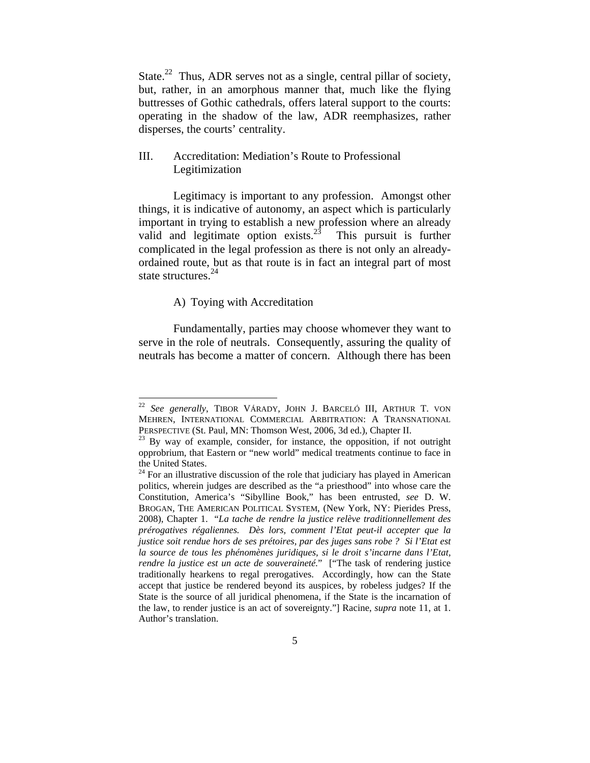State.<sup>22</sup> Thus, ADR serves not as a single, central pillar of society, but, rather, in an amorphous manner that, much like the flying buttresses of Gothic cathedrals, offers lateral support to the courts: operating in the shadow of the law, ADR reemphasizes, rather disperses, the courts' centrality.

# III. Accreditation: Mediation's Route to Professional Legitimization

Legitimacy is important to any profession. Amongst other things, it is indicative of autonomy, an aspect which is particularly important in trying to establish a new profession where an already valid and legitimate option exists. $^{23}$  This pursuit is further complicated in the legal profession as there is not only an alreadyordained route, but as that route is in fact an integral part of most state structures.<sup>24</sup>

# A) Toying with Accreditation

l

Fundamentally, parties may choose whomever they want to serve in the role of neutrals. Consequently, assuring the quality of neutrals has become a matter of concern. Although there has been

<sup>22</sup> *See generally*, TIBOR VÁRADY, JOHN J. BARCELÓ III, ARTHUR T. VON MEHREN, INTERNATIONAL COMMERCIAL ARBITRATION: A TRANSNATIONAL PERSPECTIVE (St. Paul, MN: Thomson West, 2006, 3d ed.), Chapter II.<br><sup>23</sup> By way of example, consider, for instance, the opposition, if not outright

opprobrium, that Eastern or "new world" medical treatments continue to face in the United States.

 $24$  For an illustrative discussion of the role that judiciary has played in American politics, wherein judges are described as the "a priesthood" into whose care the Constitution, America's "Sibylline Book," has been entrusted, *see* D. W. BROGAN, THE AMERICAN POLITICAL SYSTEM, (New York, NY: Pierides Press, 2008), Chapter 1. "*La tache de rendre la justice relève traditionnellement des prérogatives régaliennes. Dès lors, comment l'Etat peut-il accepter que la justice soit rendue hors de ses prétoires, par des juges sans robe ? Si l'Etat est la source de tous les phénomènes juridiques, si le droit s'incarne dans l'Etat, rendre la justice est un acte de souveraineté.*" ["The task of rendering justice traditionally hearkens to regal prerogatives. Accordingly, how can the State accept that justice be rendered beyond its auspices, by robeless judges? If the State is the source of all juridical phenomena, if the State is the incarnation of the law, to render justice is an act of sovereignty."] Racine, *supra* note 11, at 1. Author's translation.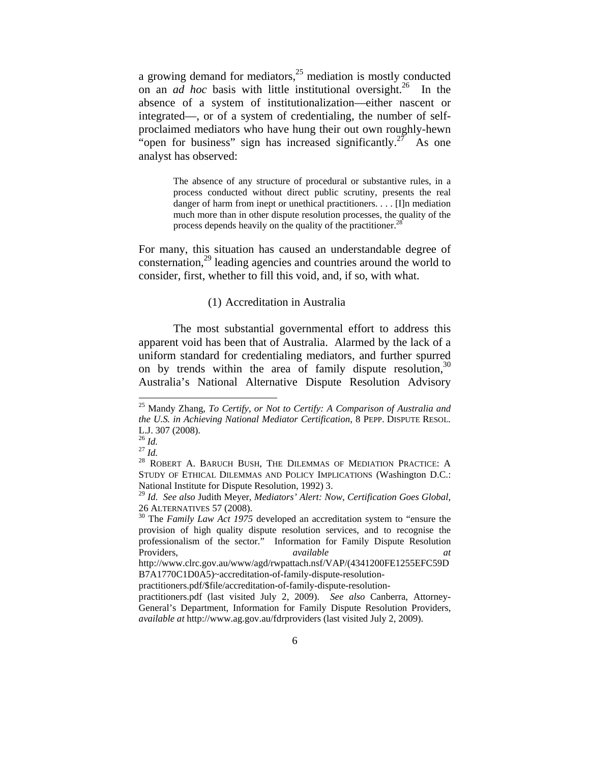a growing demand for mediators,<sup>25</sup> mediation is mostly conducted on an *ad hoc* basis with little institutional oversight.26 In the absence of a system of institutionalization—either nascent or integrated—, or of a system of credentialing, the number of selfproclaimed mediators who have hung their out own roughly-hewn "open for business" sign has increased significantly.<sup>27</sup> As one analyst has observed:

> The absence of any structure of procedural or substantive rules, in a process conducted without direct public scrutiny, presents the real danger of harm from inept or unethical practitioners. . . . [I]n mediation much more than in other dispute resolution processes, the quality of the process depends heavily on the quality of the practitioner.<sup>28</sup>

For many, this situation has caused an understandable degree of consternation,<sup>29</sup> leading agencies and countries around the world to consider, first, whether to fill this void, and, if so, with what.

#### (1) Accreditation in Australia

The most substantial governmental effort to address this apparent void has been that of Australia. Alarmed by the lack of a uniform standard for credentialing mediators, and further spurred on by trends within the area of family dispute resolution,  $30$ Australia's National Alternative Dispute Resolution Advisory

<sup>25</sup> Mandy Zhang, *To Certify, or Not to Certify: A Comparison of Australia and the U.S. in Achieving National Mediator Certification*, 8 PEPP. DISPUTE RESOL. L.J. 307 (2008).<br><sup>26</sup> Id.

<sup>&</sup>lt;sup>27</sup> *Id.*<br><sup>27</sup> *Id.* 28 ROBERT A. BARUCH BUSH, THE DILEMMAS OF MEDIATION PRACTICE: A STUDY OF ETHICAL DILEMMAS AND POLICY IMPLICATIONS (Washington D.C.: National Institute for Dispute Resolution, 1992) 3.

<sup>29</sup> *Id. See also* Judith Meyer, *Mediators' Alert: Now, Certification Goes Global*, 26 ALTERNATIVES 57 (2008). 30 The *Family Law Act 1975* developed an accreditation system to "ensure the

provision of high quality dispute resolution services, and to recognise the professionalism of the sector." Information for Family Dispute Resolution Providers, *available at*

http://www.clrc.gov.au/www/agd/rwpattach.nsf/VAP/(4341200FE1255EFC59D B7A1770C1D0A5)~accreditation-of-family-dispute-resolution-

practitioners.pdf/\$file/accreditation-of-family-dispute-resolution-

practitioners.pdf (last visited July 2, 2009). *See also* Canberra, Attorney-General's Department, Information for Family Dispute Resolution Providers, *available at* http://www.ag.gov.au/fdrproviders (last visited July 2, 2009).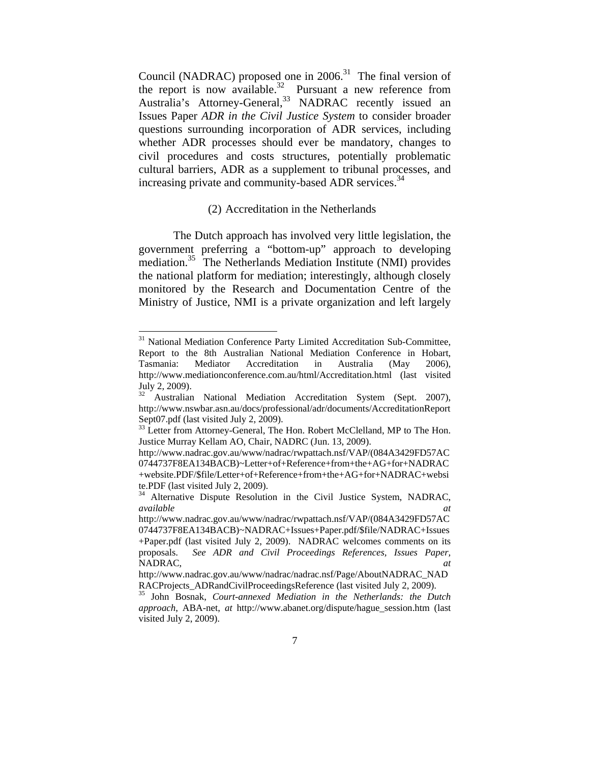Council (NADRAC) proposed one in  $2006$ .<sup>31</sup> The final version of the report is now available.<sup>32</sup> Pursuant a new reference from Australia's Attorney-General,<sup>33</sup> NADRAC recently issued an Issues Paper *ADR in the Civil Justice System* to consider broader questions surrounding incorporation of ADR services, including whether ADR processes should ever be mandatory, changes to civil procedures and costs structures, potentially problematic cultural barriers, ADR as a supplement to tribunal processes, and increasing private and community-based ADR services.<sup>34</sup>

# (2) Accreditation in the Netherlands

The Dutch approach has involved very little legislation, the government preferring a "bottom-up" approach to developing mediation.<sup>35</sup> The Netherlands Mediation Institute (NMI) provides the national platform for mediation; interestingly, although closely monitored by the Research and Documentation Centre of the Ministry of Justice, NMI is a private organization and left largely

<sup>&</sup>lt;sup>31</sup> National Mediation Conference Party Limited Accreditation Sub-Committee, Report to the 8th Australian National Mediation Conference in Hobart, Tasmania: Mediator Accreditation in Australia (May 2006), http://www.mediationconference.com.au/html/Accreditation.html (last visited July 2, 2009).

<sup>&</sup>lt;sup>2</sup> Australian National Mediation Accreditation System (Sept. 2007), http://www.nswbar.asn.au/docs/professional/adr/documents/AccreditationReport Sept07.pdf (last visited July 2, 2009).

<sup>&</sup>lt;sup>33</sup> Letter from Attorney-General, The Hon. Robert McClelland, MP to The Hon. Justice Murray Kellam AO, Chair, NADRC (Jun. 13, 2009).

http://www.nadrac.gov.au/www/nadrac/rwpattach.nsf/VAP/(084A3429FD57AC 0744737F8EA134BACB)~Letter+of+Reference+from+the+AG+for+NADRAC +website.PDF/\$file/Letter+of+Reference+from+the+AG+for+NADRAC+websi te.PDF (last visited July 2, 2009).

Alternative Dispute Resolution in the Civil Justice System, NADRAC, *available* at *available* at *ax* 

http://www.nadrac.gov.au/www/nadrac/rwpattach.nsf/VAP/(084A3429FD57AC 0744737F8EA134BACB)~NADRAC+Issues+Paper.pdf/\$file/NADRAC+Issues +Paper.pdf (last visited July 2, 2009). NADRAC welcomes comments on its proposals. *See ADR and Civil Proceedings References, Issues Paper,*  NADRAC, at *at* and **a** *at* and **a** *at* and **a** *at* and **a** *at* and **a** *at* and **a** *at* and **a** *at* and **a** *at* and **a** *at* and **a** *at* and **a** *at* and **a** *at* and **a** *at* and **a** *at* and **a** *at* and **a**

http://www.nadrac.gov.au/www/nadrac/nadrac.nsf/Page/AboutNADRAC\_NAD

RACProjects\_ADRandCivilProceedingsReference (last visited July 2, 2009). 35 John Bosnak, *Court-annexed Mediation in the Netherlands: the Dutch approach*, ABA-net, *at* http://www.abanet.org/dispute/hague\_session.htm (last visited July 2, 2009).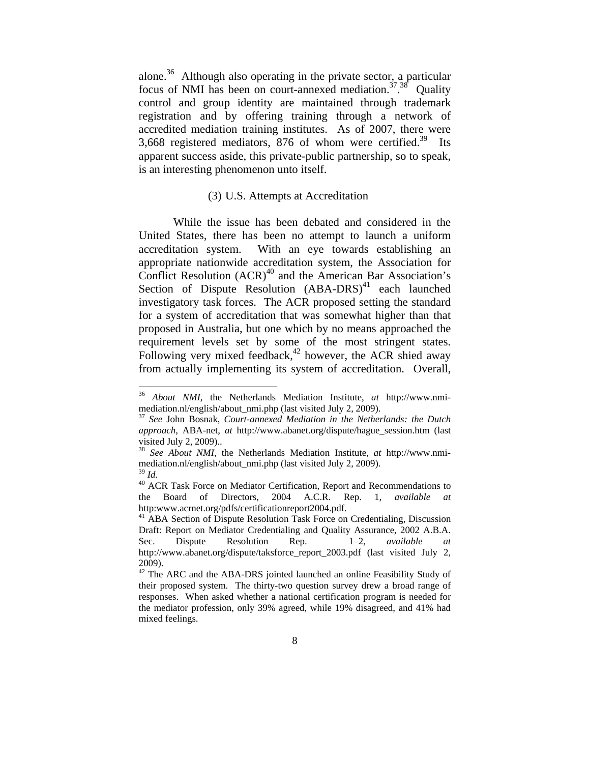alone.<sup>36</sup> Although also operating in the private sector, a particular focus of NMI has been on court-annexed mediation.<sup>37</sup>.<sup>38</sup> Quality control and group identity are maintained through trademark registration and by offering training through a network of accredited mediation training institutes. As of 2007, there were 3,668 registered mediators, 876 of whom were certified.<sup>39</sup> Its apparent success aside, this private-public partnership, so to speak, is an interesting phenomenon unto itself.

# (3) U.S. Attempts at Accreditation

While the issue has been debated and considered in the United States, there has been no attempt to launch a uniform accreditation system. With an eye towards establishing an appropriate nationwide accreditation system, the Association for Conflict Resolution  $(ACR)^{40}$  and the American Bar Association's Section of Dispute Resolution  $(ABA-DRS)^{41}$  each launched investigatory task forces. The ACR proposed setting the standard for a system of accreditation that was somewhat higher than that proposed in Australia, but one which by no means approached the requirement levels set by some of the most stringent states. Following very mixed feedback, $42$  however, the ACR shied away from actually implementing its system of accreditation. Overall,

 $\overline{\phantom{a}}$ 

<sup>36</sup> *About NMI*, the Netherlands Mediation Institute, *at* http://www.nmimediation.nl/english/about\_nmi.php (last visited July 2, 2009). 37 *See* John Bosnak, *Court-annexed Mediation in the Netherlands: the Dutch* 

*approach*, ABA-net, *at* http://www.abanet.org/dispute/hague\_session.htm (last visited July 2, 2009)..

<sup>38</sup> *See About NMI*, the Netherlands Mediation Institute, *at* http://www.nmimediation.nl/english/about\_nmi.php (last visited July 2, 2009).

<sup>&</sup>lt;sup>39</sup> *Id.* **ACR** Task Force on Mediator Certification, Report and Recommendations to the Board of Directors, 2004 A.C.R. Rep. 1, *available at* http:www.acrnet.org/pdfs/certificationreport2004.pdf.<br><sup>41</sup> ABA Section of Dispute Resolution Task Force on Credentialing, Discussion

Draft: Report on Mediator Credentialing and Quality Assurance, 2002 A.B.A. Sec. Dispute Resolution Rep. 1–2, *available at* http://www.abanet.org/dispute/taksforce\_report\_2003.pdf (last visited July 2, 2009).

<sup>&</sup>lt;sup>42</sup> The ARC and the ABA-DRS jointed launched an online Feasibility Study of their proposed system. The thirty-two question survey drew a broad range of responses. When asked whether a national certification program is needed for the mediator profession, only 39% agreed, while 19% disagreed, and 41% had mixed feelings.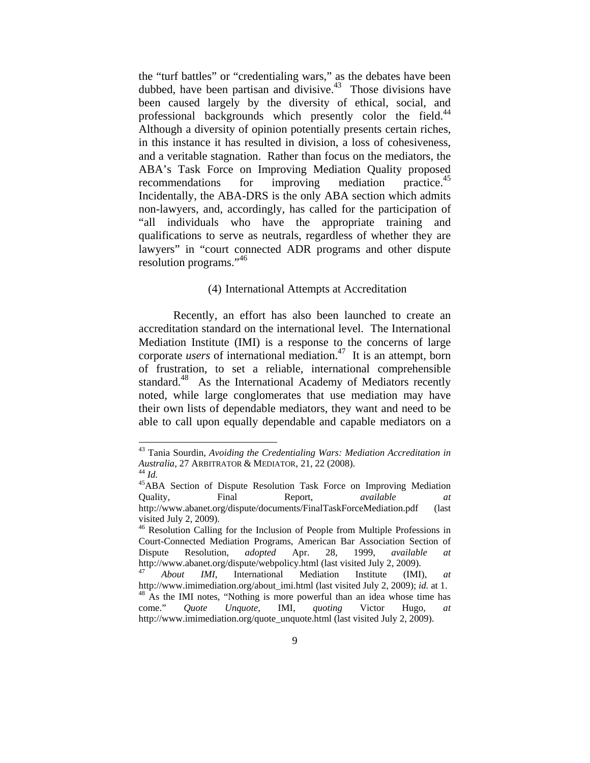the "turf battles" or "credentialing wars," as the debates have been dubbed, have been partisan and divisive. $43$  Those divisions have been caused largely by the diversity of ethical, social, and professional backgrounds which presently color the field.<sup>44</sup> Although a diversity of opinion potentially presents certain riches, in this instance it has resulted in division, a loss of cohesiveness, and a veritable stagnation. Rather than focus on the mediators, the ABA's Task Force on Improving Mediation Quality proposed recommendations for improving mediation practice.<sup>45</sup> Incidentally, the ABA-DRS is the only ABA section which admits non-lawyers, and, accordingly, has called for the participation of "all individuals who have the appropriate training and qualifications to serve as neutrals, regardless of whether they are lawyers" in "court connected ADR programs and other dispute resolution programs."46

#### (4) International Attempts at Accreditation

Recently, an effort has also been launched to create an accreditation standard on the international level. The International Mediation Institute (IMI) is a response to the concerns of large corporate *users* of international mediation.47 It is an attempt, born of frustration, to set a reliable, international comprehensible standard.<sup>48</sup> As the International Academy of Mediators recently noted, while large conglomerates that use mediation may have their own lists of dependable mediators, they want and need to be able to call upon equally dependable and capable mediators on a

<sup>43</sup> Tania Sourdin, *Avoiding the Credentialing Wars: Mediation Accreditation in Australia*, 27 ARBITRATOR & MEDIATOR, 21, 22 (2008).<br><sup>44</sup> *Id.* 45ABA Section of Dispute Resolution Task Force on Improving Mediation

Quality, Final Report, *available at* http://www.abanet.org/dispute/documents/FinalTaskForceMediation.pdf (last visited July 2, 2009).

<sup>&</sup>lt;sup>46</sup> Resolution Calling for the Inclusion of People from Multiple Professions in Court-Connected Mediation Programs, American Bar Association Section of Dispute Resolution, *adopted* Apr. 28, 1999, *available at* http://www.abanet.org/dispute/webpolicy.html (last visited July 2, 2009). 47 *About IMI*, International Mediation Institute (IMI), *at*

http://www.imimediation.org/about\_imi.html (last visited July 2, 2009); *id.* at 1. <sup>48</sup> As the IMI notes, "Nothing is more powerful than an idea whose time has come." *Quote Unquote*, IMI, *quoting* Victor Hugo, *at*  http://www.imimediation.org/quote\_unquote.html (last visited July 2, 2009).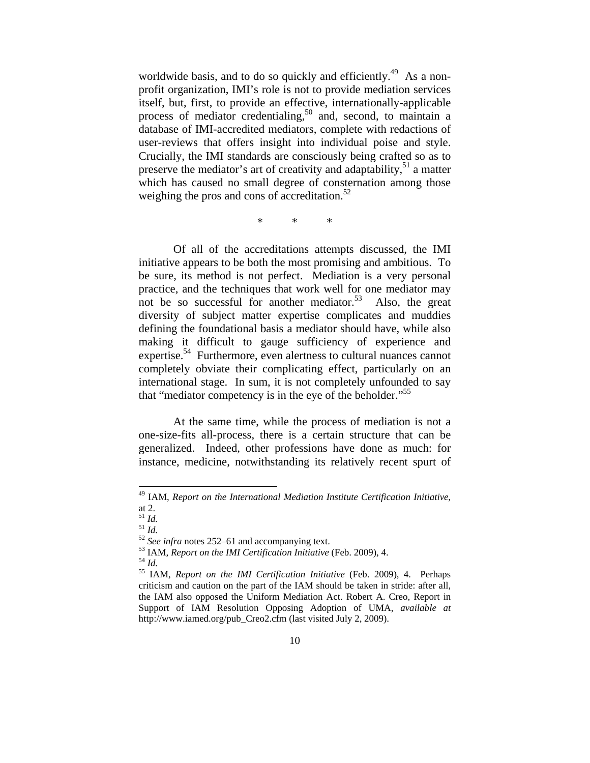worldwide basis, and to do so quickly and efficiently.<sup>49</sup> As a nonprofit organization, IMI's role is not to provide mediation services itself, but, first, to provide an effective, internationally-applicable process of mediator credentialing,<sup>50</sup> and, second, to maintain a database of IMI-accredited mediators, complete with redactions of user-reviews that offers insight into individual poise and style. Crucially, the IMI standards are consciously being crafted so as to preserve the mediator's art of creativity and adaptability, $51$  a matter which has caused no small degree of consternation among those weighing the pros and cons of accreditation. $52$ 

\* \* \*

Of all of the accreditations attempts discussed, the IMI initiative appears to be both the most promising and ambitious. To be sure, its method is not perfect. Mediation is a very personal practice, and the techniques that work well for one mediator may not be so successful for another mediator.<sup>53</sup> Also, the great diversity of subject matter expertise complicates and muddies defining the foundational basis a mediator should have, while also making it difficult to gauge sufficiency of experience and expertise.<sup>54</sup> Furthermore, even alertness to cultural nuances cannot completely obviate their complicating effect, particularly on an international stage. In sum, it is not completely unfounded to say that "mediator competency is in the eye of the beholder."<sup>55</sup>

At the same time, while the process of mediation is not a one-size-fits all-process, there is a certain structure that can be generalized. Indeed, other professions have done as much: for instance, medicine, notwithstanding its relatively recent spurt of

<sup>49</sup> IAM, *Report on the International Mediation Institute Certification Initiative*,

at 2.<br> $^{51}$  *Id.* 

<sup>&</sup>lt;sup>51</sup> *Id.*<br><sup>52</sup> *See infra* notes 252–61 and accompanying text.<br><sup>53</sup> IAM, *Report on the IMI Certification Initiative* (Feb. 2009), 4.<br><sup>54</sup> *Id.*<br><sup>55</sup> IAM, *Report on the IMI Certification Initiative* (Feb. 2009), 4. Perh criticism and caution on the part of the IAM should be taken in stride: after all, the IAM also opposed the Uniform Mediation Act. Robert A. Creo, Report in Support of IAM Resolution Opposing Adoption of UMA, *available at*  http://www.iamed.org/pub\_Creo2.cfm (last visited July 2, 2009).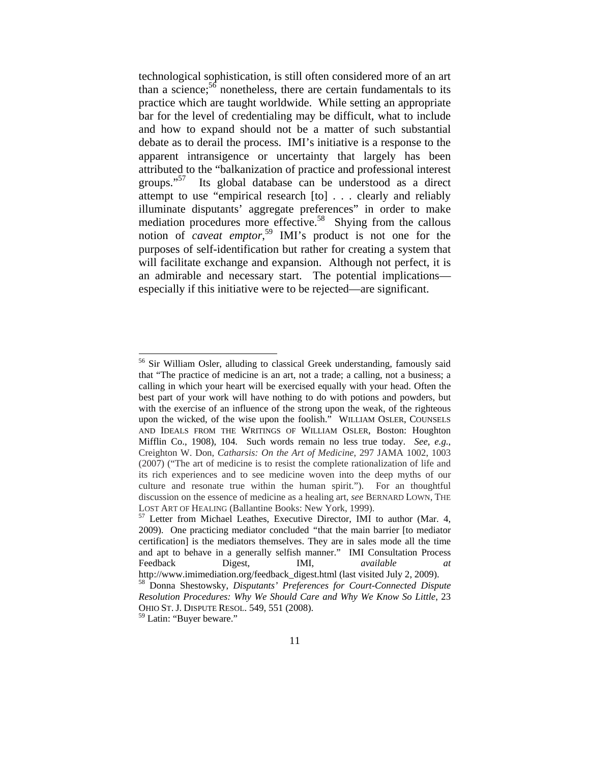technological sophistication, is still often considered more of an art than a science;<sup>56</sup> nonetheless, there are certain fundamentals to its practice which are taught worldwide. While setting an appropriate bar for the level of credentialing may be difficult, what to include and how to expand should not be a matter of such substantial debate as to derail the process. IMI's initiative is a response to the apparent intransigence or uncertainty that largely has been attributed to the "balkanization of practice and professional interest groups."<sup>57</sup> Its global database can be understood as a direct attempt to use "empirical research [to] . . . clearly and reliably illuminate disputants' aggregate preferences" in order to make mediation procedures more effective.<sup>58</sup> Shying from the callous notion of *caveat emptor*, 59 IMI's product is not one for the purposes of self-identification but rather for creating a system that will facilitate exchange and expansion. Although not perfect, it is an admirable and necessary start. The potential implications especially if this initiative were to be rejected—are significant.

 $\overline{\phantom{a}}$ 

<sup>&</sup>lt;sup>56</sup> Sir William Osler, alluding to classical Greek understanding, famously said that "The practice of medicine is an art, not a trade; a calling, not a business; a calling in which your heart will be exercised equally with your head. Often the best part of your work will have nothing to do with potions and powders, but with the exercise of an influence of the strong upon the weak, of the righteous upon the wicked, of the wise upon the foolish." WILLIAM OSLER, COUNSELS AND IDEALS FROM THE WRITINGS OF WILLIAM OSLER, Boston: Houghton Mifflin Co., 1908), 104. Such words remain no less true today. *See, e.g.*, Creighton W. Don, *Catharsis: On the Art of Medicine*, 297 JAMA 1002, 1003 (2007) ("The art of medicine is to resist the complete rationalization of life and its rich experiences and to see medicine woven into the deep myths of our culture and resonate true within the human spirit."). For an thoughtful discussion on the essence of medicine as a healing art, *see* BERNARD LOWN, THE LOST ART OF HEALING (Ballantine Books: New York, 1999).<br><sup>57</sup> Letter from Michael Leathes, Executive Director, IMI to author (Mar. 4,

<sup>2009).</sup> One practicing mediator concluded *"*that the main barrier [to mediator certification] is the mediators themselves. They are in sales mode all the time and apt to behave in a generally selfish manner." IMI Consultation Process Feedback Digest, **IMI**, *available* 

http://www.imimediation.org/feedback\_digest.html (last visited July 2, 2009). 58 Donna Shestowsky, *Disputants' Preferences for Court-Connected Dispute Resolution Procedures: Why We Should Care and Why We Know So Little*, 23 OHIO ST. J. DISPUTE RESOL. 549, 551 (2008).

<sup>&</sup>lt;sup>59</sup> Latin: "Buyer beware."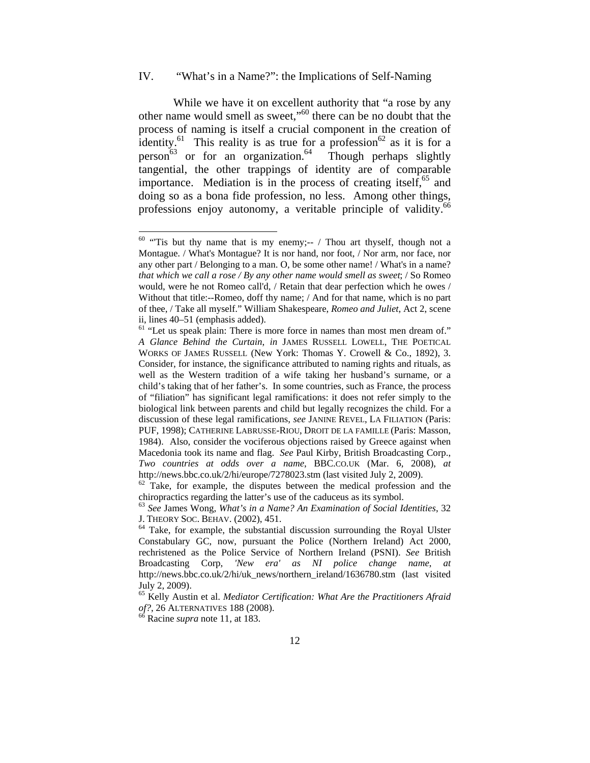# IV. "What's in a Name?": the Implications of Self-Naming

While we have it on excellent authority that "a rose by any other name would smell as sweet,"60 there can be no doubt that the process of naming is itself a crucial component in the creation of identity.<sup>61</sup> This reality is as true for a profession<sup>62</sup> as it is for a person<sup>63</sup> or for an organization.<sup>64</sup> Though perhaps slightly tangential, the other trappings of identity are of comparable importance. Mediation is in the process of creating itself, $^{65}$  and doing so as a bona fide profession, no less. Among other things, professions enjoy autonomy, a veritable principle of validity.<sup>66</sup>

 $60$  "Tis but thy name that is my enemy;-- / Thou art thyself, though not a Montague. / What's Montague? It is nor hand, nor foot, / Nor arm, nor face, nor any other part / Belonging to a man. O, be some other name! / What's in a name? *that which we call a rose / By any other name would smell as sweet*; / So Romeo would, were he not Romeo call'd, / Retain that dear perfection which he owes / Without that title:--Romeo, doff thy name; / And for that name, which is no part of thee, / Take all myself." William Shakespeare, *Romeo and Juliet*, Act 2, scene ii, lines 40–51 (emphasis added).

<sup>&</sup>lt;sup>61</sup> "Let us speak plain: There is more force in names than most men dream of." *A Glance Behind the Curtain*, *in* JAMES RUSSELL LOWELL, THE POETICAL WORKS OF JAMES RUSSELL (New York: Thomas Y. Crowell & Co., 1892), 3. Consider, for instance, the significance attributed to naming rights and rituals, as well as the Western tradition of a wife taking her husband's surname, or a child's taking that of her father's. In some countries, such as France, the process of "filiation" has significant legal ramifications: it does not refer simply to the biological link between parents and child but legally recognizes the child. For a discussion of these legal ramifications, *see* JANINE REVEL, LA FILIATION (Paris: PUF, 1998); CATHERINE LABRUSSE-RIOU, DROIT DE LA FAMILLE (Paris: Masson, 1984). Also, consider the vociferous objections raised by Greece against when Macedonia took its name and flag. *See* Paul Kirby, British Broadcasting Corp., *Two countries at odds over a name*, BBC.CO.UK (Mar. 6, 2008), *at*  http://news.bbc.co.uk/2/hi/europe/7278023.stm (last visited July 2, 2009).<br><sup>62</sup> Take, for example, the disputes between the medical profession and the

chiropractics regarding the latter's use of the caduceus as its symbol. 63 *See* James Wong, *What's in a Name? An Examination of Social Identities*, 32

 $<sup>64</sup>$  Take, for example, the substantial discussion surrounding the Royal Ulster</sup> Constabulary GC, now, pursuant the Police (Northern Ireland) Act 2000, rechristened as the Police Service of Northern Ireland (PSNI). *See* British Broadcasting Corp, *'New era' as NI police change name*, *at* http://news.bbc.co.uk/2/hi/uk\_news/northern\_ireland/1636780.stm (last visited July 2, 2009).

<sup>65</sup> Kelly Austin et al. *Mediator Certification: What Are the Practitioners Afraid of?*, 26 ALTERNATIVES 188 (2008). 66 Racine *supra* note 11, at 183.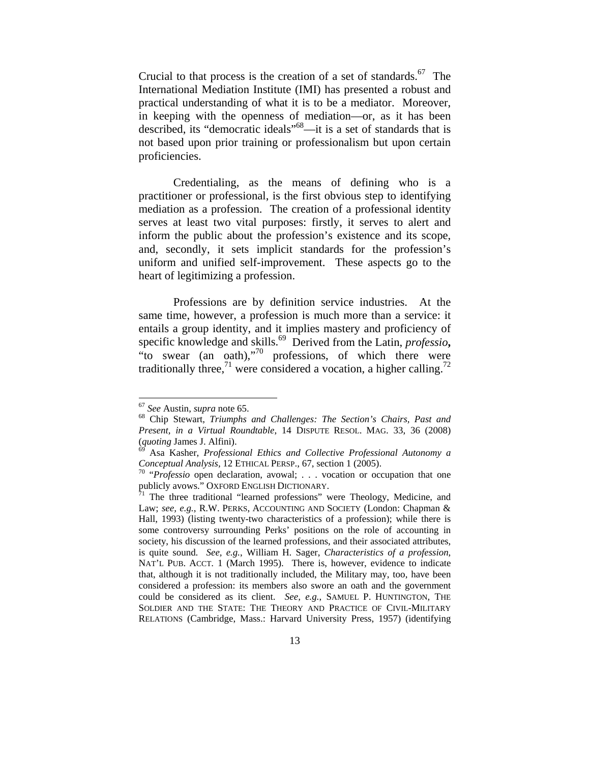Crucial to that process is the creation of a set of standards.<sup>67</sup> The International Mediation Institute (IMI) has presented a robust and practical understanding of what it is to be a mediator. Moreover, in keeping with the openness of mediation—or, as it has been described, its "democratic ideals"68—it is a set of standards that is not based upon prior training or professionalism but upon certain proficiencies.

Credentialing, as the means of defining who is a practitioner or professional, is the first obvious step to identifying mediation as a profession. The creation of a professional identity serves at least two vital purposes: firstly, it serves to alert and inform the public about the profession's existence and its scope, and, secondly, it sets implicit standards for the profession's uniform and unified self-improvement. These aspects go to the heart of legitimizing a profession.

Professions are by definition service industries. At the same time, however, a profession is much more than a service: it entails a group identity, and it implies mastery and proficiency of specific knowledge and skills.69 Derived from the Latin, *professio***,** "to swear (an oath),"<sup>70</sup> professions, of which there were traditionally three,<sup>71</sup> were considered a vocation, a higher calling.<sup>72</sup>

<sup>&</sup>lt;sup>67</sup> *See* Austin, *supra* note 65.<br><sup>68</sup> Chip Stewart, *Triumphs and Challenges: The Section's Chairs, Past and Present, in a Virtual Roundtable*, 14 DISPUTE RESOL. MAG. 33, 36 (2008) (*quoting* James J. Alfini). 69 Asa Kasher, *Professional Ethics and Collective Professional Autonomy a* 

*Conceptual Analysis,* 12 ETHICAL PERSP., 67, section 1 (2005).<br><sup>70</sup> "*Professio* open declaration, avowal; . . . vocation or occupation that one publicly avows." OXFORD ENGLISH DICTIONARY.

 $\frac{1}{1}$  The three traditional "learned professions" were Theology, Medicine, and Law; see, e.g., R.W. PERKS, ACCOUNTING AND SOCIETY (London: Chapman & Hall, 1993) (listing twenty-two characteristics of a profession); while there is some controversy surrounding Perks' positions on the role of accounting in society, his discussion of the learned professions, and their associated attributes, is quite sound. *See, e.g.*, William H. Sager, *Characteristics of a profession*, NAT'L PUB. ACCT. 1 (March 1995). There is, however, evidence to indicate that, although it is not traditionally included, the Military may, too, have been considered a profession: its members also swore an oath and the government could be considered as its client. *See, e.g.*, SAMUEL P. HUNTINGTON, THE SOLDIER AND THE STATE: THE THEORY AND PRACTICE OF CIVIL-MILITARY RELATIONS (Cambridge, Mass.: Harvard University Press, 1957) (identifying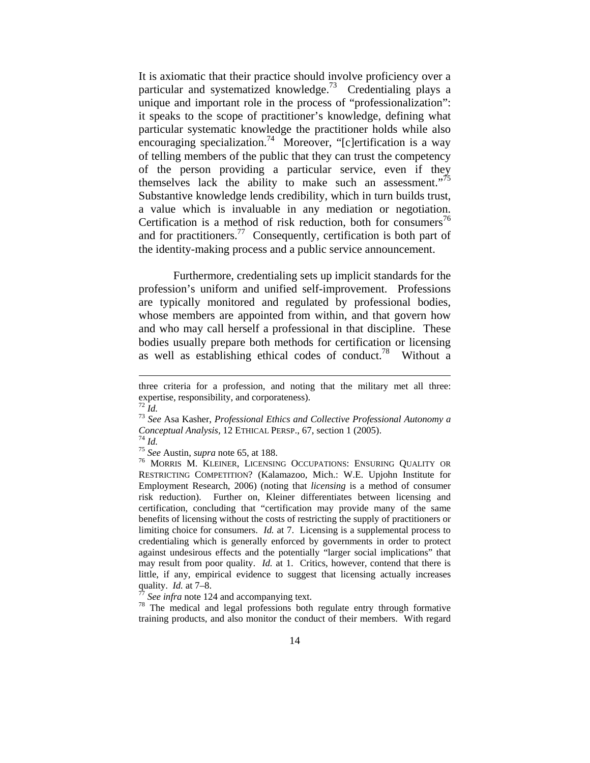It is axiomatic that their practice should involve proficiency over a particular and systematized knowledge.73 Credentialing plays a unique and important role in the process of "professionalization": it speaks to the scope of practitioner's knowledge, defining what particular systematic knowledge the practitioner holds while also encouraging specialization.<sup>74</sup> Moreover, "[c]ertification is a way of telling members of the public that they can trust the competency of the person providing a particular service, even if they themselves lack the ability to make such an assessment."<sup>75</sup> Substantive knowledge lends credibility, which in turn builds trust, a value which is invaluable in any mediation or negotiation. Certification is a method of risk reduction, both for consumers<sup>76</sup> and for practitioners.<sup>77</sup> Consequently, certification is both part of the identity-making process and a public service announcement.

Furthermore, credentialing sets up implicit standards for the profession's uniform and unified self-improvement. Professions are typically monitored and regulated by professional bodies, whose members are appointed from within, and that govern how and who may call herself a professional in that discipline. These bodies usually prepare both methods for certification or licensing as well as establishing ethical codes of conduct.<sup>78</sup> Without a

three criteria for a profession, and noting that the military met all three: expertise, responsibility, and corporateness).

<sup>72</sup> *Id.* <sup>73</sup> *See* Asa Kasher, *Professional Ethics and Collective Professional Autonomy a Conceptual Analysis,* 12 ETHICAL PERSP., 67, section 1 (2005).<br><sup>74</sup> *Id.*<br><sup>75</sup> *See* Austin, *supra* note 65, at 188.<br><sup>76</sup> MORRIS M. KLEINER, LICENSING OCCUPATIONS: ENSURING QUALITY OR

RESTRICTING COMPETITION? (Kalamazoo, Mich.: W.E. Upjohn Institute for Employment Research, 2006) (noting that *licensing* is a method of consumer risk reduction). Further on, Kleiner differentiates between licensing and certification, concluding that "certification may provide many of the same benefits of licensing without the costs of restricting the supply of practitioners or limiting choice for consumers. *Id.* at 7. Licensing is a supplemental process to credentialing which is generally enforced by governments in order to protect against undesirous effects and the potentially "larger social implications" that may result from poor quality. *Id.* at 1. Critics, however, contend that there is little, if any, empirical evidence to suggest that licensing actually increases quality. *Id.* at 7–8.<br><sup>77</sup> *See infra* note 124 and accompanying text.<br><sup>78</sup> The medical and legal professions both regulate entry through formative

training products, and also monitor the conduct of their members. With regard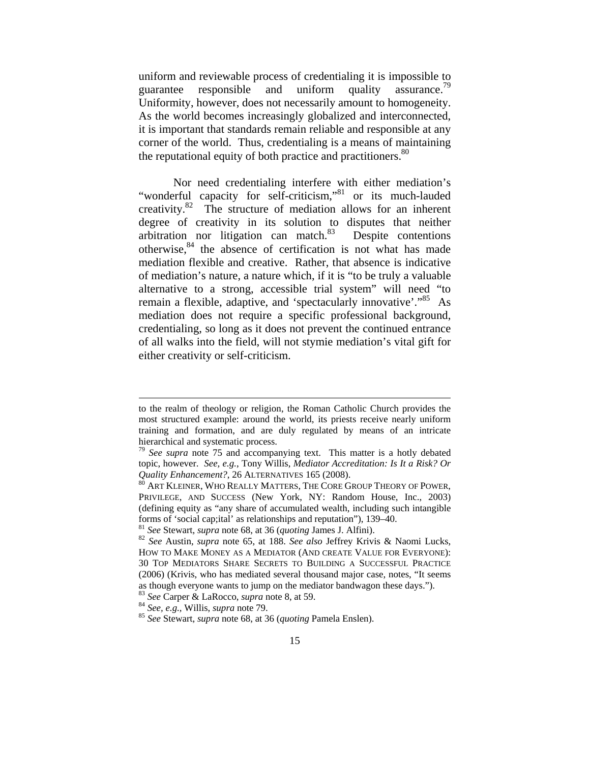uniform and reviewable process of credentialing it is impossible to guarantee responsible and uniform quality assurance.<sup>79</sup> Uniformity, however, does not necessarily amount to homogeneity. As the world becomes increasingly globalized and interconnected, it is important that standards remain reliable and responsible at any corner of the world. Thus, credentialing is a means of maintaining the reputational equity of both practice and practitioners. $80$ 

Nor need credentialing interfere with either mediation's "wonderful capacity for self-criticism,"<sup>81</sup> or its much-lauded creativity.82 The structure of mediation allows for an inherent degree of creativity in its solution to disputes that neither arbitration nor litigation can match. $83$  Despite contentions otherwise, $84$  the absence of certification is not what has made mediation flexible and creative. Rather, that absence is indicative of mediation's nature, a nature which, if it is "to be truly a valuable alternative to a strong, accessible trial system" will need "to remain a flexible, adaptive, and 'spectacularly innovative'."<sup>85</sup> As mediation does not require a specific professional background, credentialing, so long as it does not prevent the continued entrance of all walks into the field, will not stymie mediation's vital gift for either creativity or self-criticism.

to the realm of theology or religion, the Roman Catholic Church provides the most structured example: around the world, its priests receive nearly uniform training and formation, and are duly regulated by means of an intricate hierarchical and systematic process.<br><sup>79</sup> *See supra* note 75 and accompanying text. This matter is a hotly debated

topic, however. *See, e.g.*, Tony Willis, *Mediator Accreditation: Is It a Risk? Or Quality Enhancement?*, 26 ALTERNATIVES 165 (2008).<br><sup>80</sup> ART KLEINER, WHO REALLY MATTERS, THE CORE GROUP THEORY OF POWER.

PRIVILEGE, AND SUCCESS (New York, NY: Random House, Inc., 2003) (defining equity as "any share of accumulated wealth, including such intangible forms of 'social cap;ital' as relationships and reputation"), 139–40.<br><sup>81</sup> See Stewart, *supra* note 68, at 36 (*quoting James J. Alfini*).<br><sup>82</sup> See Austin, *supra* note 65, at 188. See also Jeffrey Krivis & Naomi Lucks,

HOW TO MAKE MONEY AS A MEDIATOR (AND CREATE VALUE FOR EVERYONE): 30 TOP MEDIATORS SHARE SECRETS TO BUILDING A SUCCESSFUL PRACTICE (2006) (Krivis, who has mediated several thousand major case, notes, "It seems as though everyone wants to jump on the mediator bandwagon these days."). <sup>83</sup> See Carper & LaRocco, *supra* note 8, at 59.

<sup>&</sup>lt;sup>84</sup> *See, e.g., Willis, <i>supra* note 79.<br><sup>85</sup> *See Stewart, <i>supra* note 68, at 36 *(quoting Pamela Enslen).*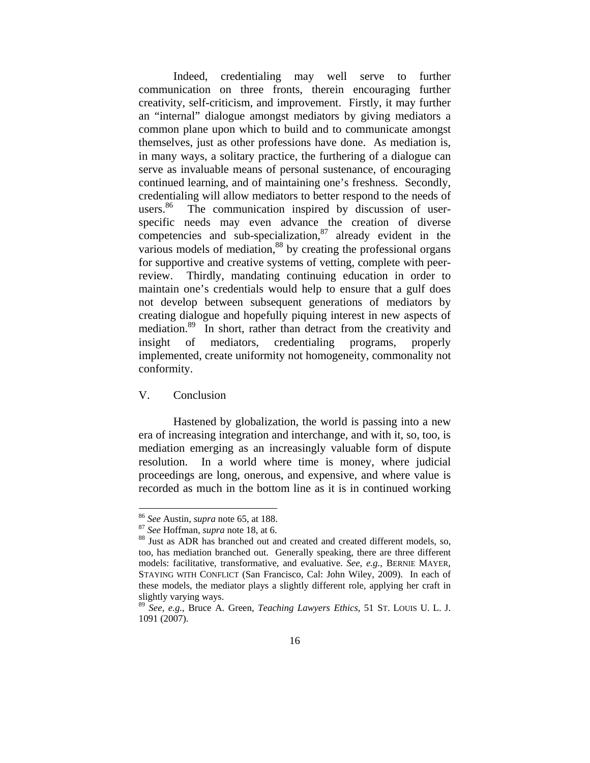Indeed, credentialing may well serve to further communication on three fronts, therein encouraging further creativity, self-criticism, and improvement. Firstly, it may further an "internal" dialogue amongst mediators by giving mediators a common plane upon which to build and to communicate amongst themselves, just as other professions have done. As mediation is, in many ways, a solitary practice, the furthering of a dialogue can serve as invaluable means of personal sustenance, of encouraging continued learning, and of maintaining one's freshness. Secondly, credentialing will allow mediators to better respond to the needs of users.<sup>86</sup> The communication inspired by discussion of userspecific needs may even advance the creation of diverse competencies and sub-specialization, $87$  already evident in the various models of mediation,<sup>88</sup> by creating the professional organs for supportive and creative systems of vetting, complete with peerreview. Thirdly, mandating continuing education in order to maintain one's credentials would help to ensure that a gulf does not develop between subsequent generations of mediators by creating dialogue and hopefully piquing interest in new aspects of mediation.<sup>89</sup> In short, rather than detract from the creativity and insight of mediators, credentialing programs, properly implemented, create uniformity not homogeneity, commonality not conformity.

# V. Conclusion

l

Hastened by globalization, the world is passing into a new era of increasing integration and interchange, and with it, so, too, is mediation emerging as an increasingly valuable form of dispute resolution. In a world where time is money, where judicial proceedings are long, onerous, and expensive, and where value is recorded as much in the bottom line as it is in continued working

<sup>86</sup> *See* Austin, *supra* note 65, at 188. 87 *See* Hoffman*, supra* note 18, at 6. 88 Just as ADR has branched out and created and created different models, so, too, has mediation branched out. Generally speaking, there are three different models: facilitative, transformative, and evaluative. *See, e.g.*, BERNIE MAYER, STAYING WITH CONFLICT (San Francisco, Cal: John Wiley, 2009). In each of these models, the mediator plays a slightly different role, applying her craft in slightly varying ways.

<sup>89</sup> *See, e.g.*, Bruce A. Green, *Teaching Lawyers Ethics*, 51 ST. LOUIS U. L. J. 1091 (2007).